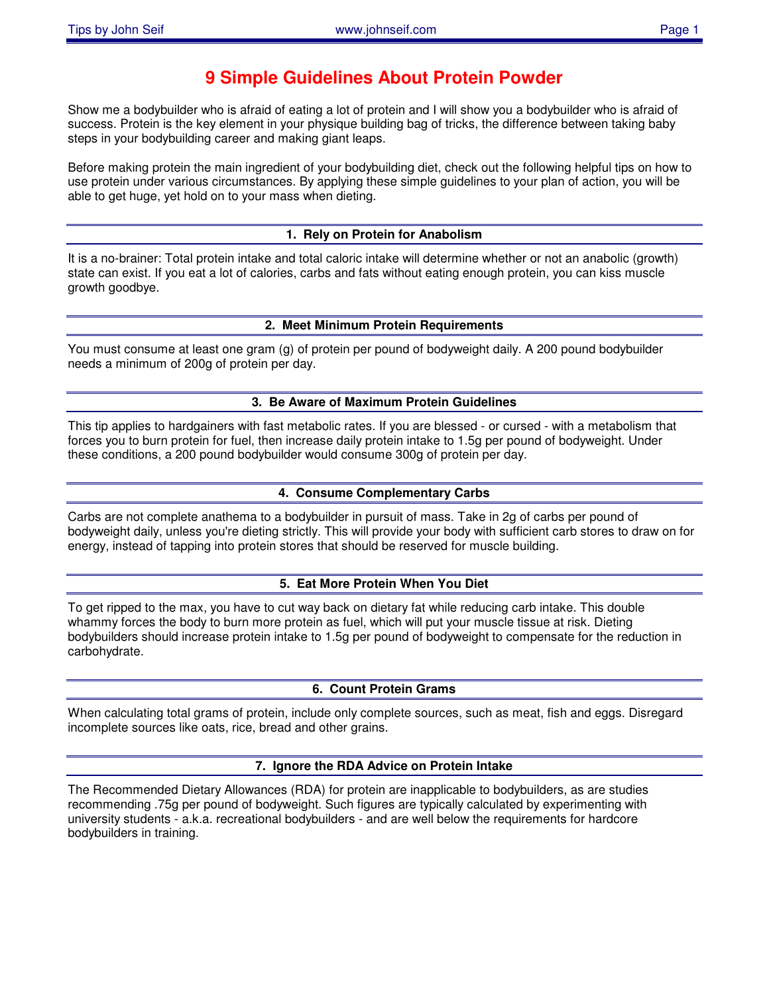# **9 Simple Guidelines About Protein Powder**

Show me a bodybuilder who is afraid of eating a lot of protein and I will show you a bodybuilder who is afraid of success. Protein is the key element in your physique building bag of tricks, the difference between taking baby steps in your bodybuilding career and making giant leaps.

Before making protein the main ingredient of your bodybuilding diet, check out the following helpful tips on how to use protein under various circumstances. By applying these simple guidelines to your plan of action, you will be able to get huge, yet hold on to your mass when dieting.

# **1. Rely on Protein for Anabolism**

It is a no-brainer: Total protein intake and total caloric intake will determine whether or not an anabolic (growth) state can exist. If you eat a lot of calories, carbs and fats without eating enough protein, you can kiss muscle growth goodbye.

# **2. Meet Minimum Protein Requirements**

You must consume at least one gram (g) of protein per pound of bodyweight daily. A 200 pound bodybuilder needs a minimum of 200g of protein per day.

#### **3. Be Aware of Maximum Protein Guidelines**

This tip applies to hardgainers with fast metabolic rates. If you are blessed - or cursed - with a metabolism that forces you to burn protein for fuel, then increase daily protein intake to 1.5g per pound of bodyweight. Under these conditions, a 200 pound bodybuilder would consume 300g of protein per day.

### **4. Consume Complementary Carbs**

Carbs are not complete anathema to a bodybuilder in pursuit of mass. Take in 2g of carbs per pound of bodyweight daily, unless you're dieting strictly. This will provide your body with sufficient carb stores to draw on for energy, instead of tapping into protein stores that should be reserved for muscle building.

#### **5. Eat More Protein When You Diet**

To get ripped to the max, you have to cut way back on dietary fat while reducing carb intake. This double whammy forces the body to burn more protein as fuel, which will put your muscle tissue at risk. Dieting bodybuilders should increase protein intake to 1.5g per pound of bodyweight to compensate for the reduction in carbohydrate.

#### **6. Count Protein Grams**

When calculating total grams of protein, include only complete sources, such as meat, fish and eggs. Disregard incomplete sources like oats, rice, bread and other grains.

#### **7. Ignore the RDA Advice on Protein Intake**

The Recommended Dietary Allowances (RDA) for protein are inapplicable to bodybuilders, as are studies recommending .75g per pound of bodyweight. Such figures are typically calculated by experimenting with university students - a.k.a. recreational bodybuilders - and are well below the requirements for hardcore bodybuilders in training.